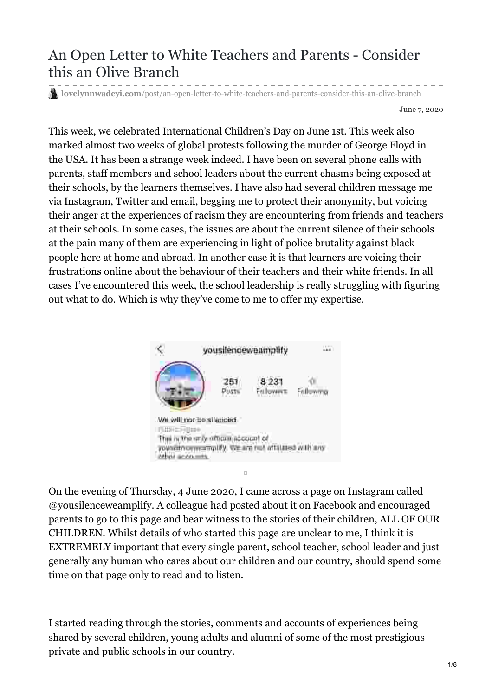# An Open Letter to White Teachers and Parents - Consider this an Olive Branch

**lovelynnwadeyi.com**[/post/an-open-letter-to-white-teachers-and-parents-consider-this-an-olive-branch](https://www.lovelynnwadeyi.com/post/an-open-letter-to-white-teachers-and-parents-consider-this-an-olive-branch)

June 7, 2020

This week, we celebrated International Children's Day on June 1st. This week also marked almost two weeks of global protests following the murder of George Floyd in the USA. It has been a strange week indeed. I have been on several phone calls with parents, staff members and school leaders about the current chasms being exposed at their schools, by the learners themselves. I have also had several children message me via Instagram, Twitter and email, begging me to protect their anonymity, but voicing their anger at the experiences of racism they are encountering from friends and teachers at their schools. In some cases, the issues are about the current silence of their schools at the pain many of them are experiencing in light of police brutality against black people here at home and abroad. In another case it is that learners are voicing their frustrations online about the behaviour of their teachers and their white friends. In all cases I've encountered this week, the school leadership is really struggling with figuring out what to do. Which is why they've come to me to offer my expertise.



On the evening of Thursday, 4 June 2020, I came across a page on Instagram called @yousilenceweamplify. A colleague had posted about it on Facebook and encouraged parents to go to this page and bear witness to the stories of their children, ALL OF OUR CHILDREN. Whilst details of who started this page are unclear to me, I think it is EXTREMELY important that every single parent, school teacher, school leader and just generally any human who cares about our children and our country, should spend some time on that page only to read and to listen.

I started reading through the stories, comments and accounts of experiences being shared by several children, young adults and alumni of some of the most prestigious private and public schools in our country.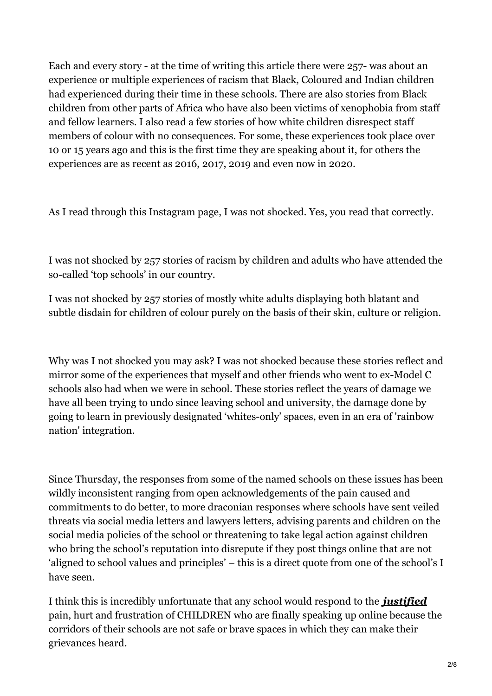Each and every story - at the time of writing this article there were 257- was about an experience or multiple experiences of racism that Black, Coloured and Indian children had experienced during their time in these schools. There are also stories from Black children from other parts of Africa who have also been victims of xenophobia from staff and fellow learners. I also read a few stories of how white children disrespect staff members of colour with no consequences. For some, these experiences took place over 10 or 15 years ago and this is the first time they are speaking about it, for others the experiences are as recent as 2016, 2017, 2019 and even now in 2020.

As I read through this Instagram page, I was not shocked. Yes, you read that correctly.

I was not shocked by 257 stories of racism by children and adults who have attended the so-called 'top schools' in our country.

I was not shocked by 257 stories of mostly white adults displaying both blatant and subtle disdain for children of colour purely on the basis of their skin, culture or religion.

Why was I not shocked you may ask? I was not shocked because these stories reflect and mirror some of the experiences that myself and other friends who went to ex-Model C schools also had when we were in school. These stories reflect the years of damage we have all been trying to undo since leaving school and university, the damage done by going to learn in previously designated 'whites-only' spaces, even in an era of 'rainbow nation' integration.

Since Thursday, the responses from some of the named schools on these issues has been wildly inconsistent ranging from open acknowledgements of the pain caused and commitments to do better, to more draconian responses where schools have sent veiled threats via social media letters and lawyers letters, advising parents and children on the social media policies of the school or threatening to take legal action against children who bring the school's reputation into disrepute if they post things online that are not 'aligned to school values and principles' – this is a direct quote from one of the school's I have seen.

I think this is incredibly unfortunate that any school would respond to the *justified* pain, hurt and frustration of CHILDREN who are finally speaking up online because the corridors of their schools are not safe or brave spaces in which they can make their grievances heard.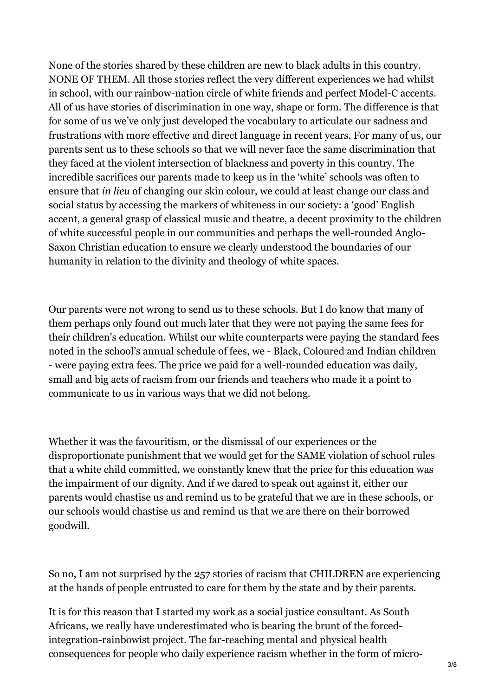None of the stories shared by these children are new to black adults in this country. NONE OF THEM. All those stories reflect the very different experiences we had whilst in school, with our rainbow-nation circle of white friends and perfect Model-C accents. All of us have stories of discrimination in one way, shape or form. The difference is that for some of us we've only just developed the vocabulary to articulate our sadness and frustrations with more effective and direct language in recent years. For many of us, our parents sent us to these schools so that we will never face the same discrimination that they faced at the violent intersection of blackness and poverty in this country. The incredible sacrifices our parents made to keep us in the 'white' schools was often to ensure that *in lieu* of changing our skin colour, we could at least change our class and social status by accessing the markers of whiteness in our society: a 'good' English accent, a general grasp of classical music and theatre, a decent proximity to the children of white successful people in our communities and perhaps the well-rounded Anglo-Saxon Christian education to ensure we clearly understood the boundaries of our humanity in relation to the divinity and theology of white spaces.

Our parents were not wrong to send us to these schools. But I do know that many of them perhaps only found out much later that they were not paying the same fees for their children's education. Whilst our white counterparts were paying the standard fees noted in the school's annual schedule of fees, we - Black, Coloured and Indian children - were paying extra fees. The price we paid for a well-rounded education was daily, small and big acts of racism from our friends and teachers who made it a point to communicate to us in various ways that we did not belong.

Whether it was the favouritism, or the dismissal of our experiences or the disproportionate punishment that we would get for the SAME violation of school rules that a white child committed, we constantly knew that the price for this education was the impairment of our dignity. And if we dared to speak out against it, either our parents would chastise us and remind us to be grateful that we are in these schools, or our schools would chastise us and remind us that we are there on their borrowed goodwill.

So no, I am not surprised by the 257 stories of racism that CHILDREN are experiencing at the hands of people entrusted to care for them by the state and by their parents.

It is for this reason that I started my work as a social justice consultant. As South Africans, we really have underestimated who is bearing the brunt of the forcedintegration-rainbowist project. The far-reaching mental and physical health consequences for people who daily experience racism whether in the form of micro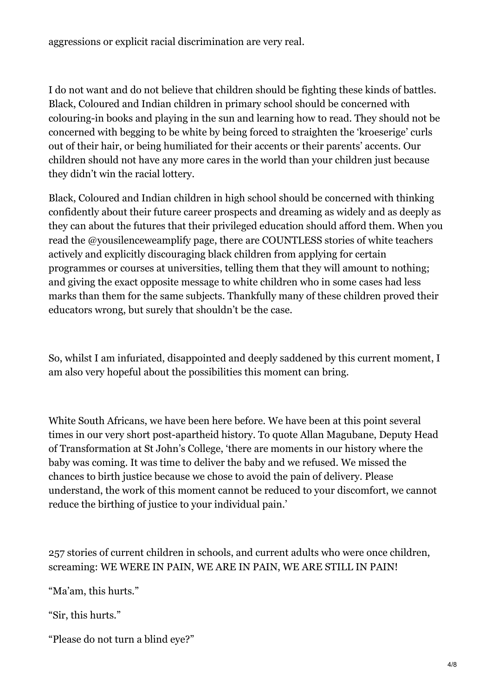aggressions or explicit racial discrimination are very real.

I do not want and do not believe that children should be fighting these kinds of battles. Black, Coloured and Indian children in primary school should be concerned with colouring-in books and playing in the sun and learning how to read. They should not be concerned with begging to be white by being forced to straighten the 'kroeserige' curls out of their hair, or being humiliated for their accents or their parents' accents. Our children should not have any more cares in the world than your children just because they didn't win the racial lottery.

Black, Coloured and Indian children in high school should be concerned with thinking confidently about their future career prospects and dreaming as widely and as deeply as they can about the futures that their privileged education should afford them. When you read the @yousilenceweamplify page, there are COUNTLESS stories of white teachers actively and explicitly discouraging black children from applying for certain programmes or courses at universities, telling them that they will amount to nothing; and giving the exact opposite message to white children who in some cases had less marks than them for the same subjects. Thankfully many of these children proved their educators wrong, but surely that shouldn't be the case.

So, whilst I am infuriated, disappointed and deeply saddened by this current moment, I am also very hopeful about the possibilities this moment can bring.

White South Africans, we have been here before. We have been at this point several times in our very short post-apartheid history. To quote Allan Magubane, Deputy Head of Transformation at St John's College, 'there are moments in our history where the baby was coming. It was time to deliver the baby and we refused. We missed the chances to birth justice because we chose to avoid the pain of delivery. Please understand, the work of this moment cannot be reduced to your discomfort, we cannot reduce the birthing of justice to your individual pain.'

257 stories of current children in schools, and current adults who were once children, screaming: WE WERE IN PAIN, WE ARE IN PAIN, WE ARE STILL IN PAIN!

"Ma'am, this hurts."

"Sir, this hurts."

"Please do not turn a blind eye?"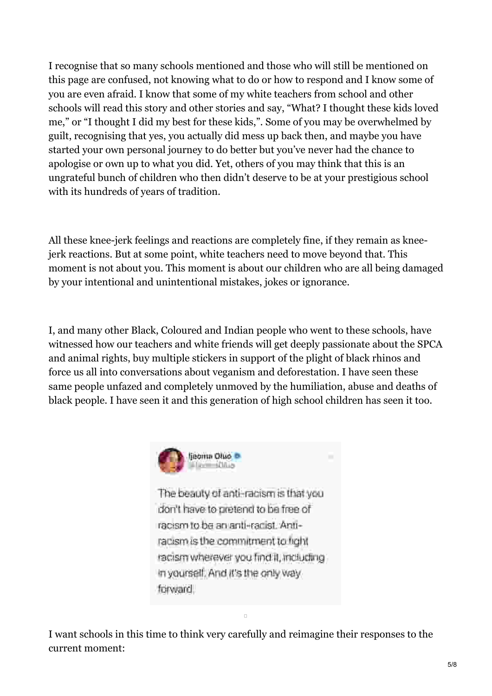I recognise that so many schools mentioned and those who will still be mentioned on this page are confused, not knowing what to do or how to respond and I know some of you are even afraid. I know that some of my white teachers from school and other schools will read this story and other stories and say, "What? I thought these kids loved me," or "I thought I did my best for these kids,". Some of you may be overwhelmed by guilt, recognising that yes, you actually did mess up back then, and maybe you have started your own personal journey to do better but you've never had the chance to apologise or own up to what you did. Yet, others of you may think that this is an ungrateful bunch of children who then didn't deserve to be at your prestigious school with its hundreds of years of tradition.

All these knee-jerk feelings and reactions are completely fine, if they remain as kneejerk reactions. But at some point, white teachers need to move beyond that. This moment is not about you. This moment is about our children who are all being damaged by your intentional and unintentional mistakes, jokes or ignorance.

I, and many other Black, Coloured and Indian people who went to these schools, have witnessed how our teachers and white friends will get deeply passionate about the SPCA and animal rights, buy multiple stickers in support of the plight of black rhinos and force us all into conversations about veganism and deforestation. I have seen these same people unfazed and completely unmoved by the humiliation, abuse and deaths of black people. I have seen it and this generation of high school children has seen it too.



The beauty of anti-racism is that you don't have to pretend to be free of racism to be an anti-radist. Antiracism is the commitment to fight radism wherever you find it, including in yourself. And it's the only way forward.

I want schools in this time to think very carefully and reimagine their responses to the current moment:

 $\Box$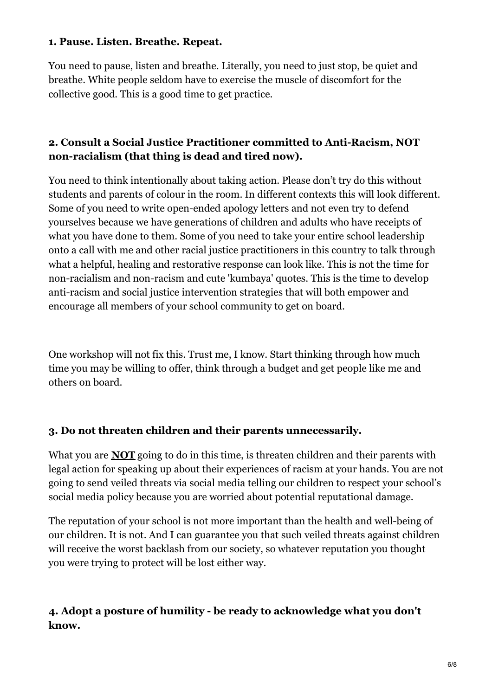#### **1. Pause. Listen. Breathe. Repeat.**

You need to pause, listen and breathe. Literally, you need to just stop, be quiet and breathe. White people seldom have to exercise the muscle of discomfort for the collective good. This is a good time to get practice.

### **2. Consult a Social Justice Practitioner committed to Anti-Racism, NOT non-racialism (that thing is dead and tired now).**

You need to think intentionally about taking action. Please don't try do this without students and parents of colour in the room. In different contexts this will look different. Some of you need to write open-ended apology letters and not even try to defend yourselves because we have generations of children and adults who have receipts of what you have done to them. Some of you need to take your entire school leadership onto a call with me and other racial justice practitioners in this country to talk through what a helpful, healing and restorative response can look like. This is not the time for non-racialism and non-racism and cute 'kumbaya' quotes. This is the time to develop anti-racism and social justice intervention strategies that will both empower and encourage all members of your school community to get on board.

One workshop will not fix this. Trust me, I know. Start thinking through how much time you may be willing to offer, think through a budget and get people like me and others on board.

#### **3. Do not threaten children and their parents unnecessarily.**

What you are **NOT** going to do in this time, is threaten children and their parents with legal action for speaking up about their experiences of racism at your hands. You are not going to send veiled threats via social media telling our children to respect your school's social media policy because you are worried about potential reputational damage.

The reputation of your school is not more important than the health and well-being of our children. It is not. And I can guarantee you that such veiled threats against children will receive the worst backlash from our society, so whatever reputation you thought you were trying to protect will be lost either way.

## **4. Adopt a posture of humility - be ready to acknowledge what you don't know.**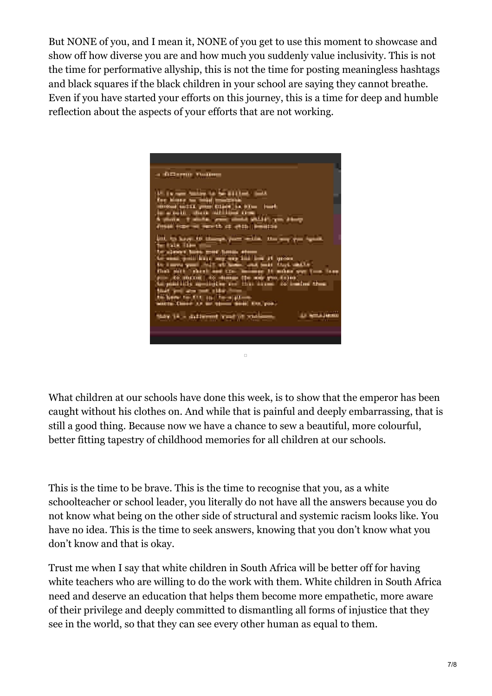But NONE of you, and I mean it, NONE of you get to use this moment to showcase and show off how diverse you are and how much you suddenly value inclusivity. This is not the time for performative allyship, this is not the time for posting meaningless hashtags and black squares if the black children in your school are saying they cannot breathe. Even if you have started your efforts on this journey, this is a time for deep and humble reflection about the aspects of your efforts that are not working.



What children at our schools have done this week, is to show that the emperor has been caught without his clothes on. And while that is painful and deeply embarrassing, that is still a good thing. Because now we have a chance to sew a beautiful, more colourful, better fitting tapestry of childhood memories for all children at our schools.

This is the time to be brave. This is the time to recognise that you, as a white schoolteacher or school leader, you literally do not have all the answers because you do not know what being on the other side of structural and systemic racism looks like. You have no idea. This is the time to seek answers, knowing that you don't know what you don't know and that is okay.

Trust me when I say that white children in South Africa will be better off for having white teachers who are willing to do the work with them. White children in South Africa need and deserve an education that helps them become more empathetic, more aware of their privilege and deeply committed to dismantling all forms of injustice that they see in the world, so that they can see every other human as equal to them.